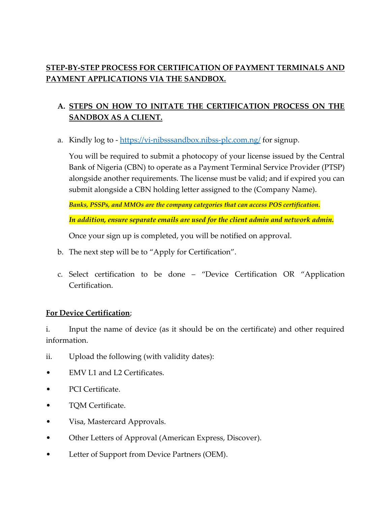# **STEP-BY-STEP PROCESS FOR CERTIFICATION OF PAYMENT TERMINALS AND PAYMENT APPLICATIONS VIA THE SANDBOX.**

# **A. STEPS ON HOW TO INITATE THE CERTIFICATION PROCESS ON THE SANDBOX AS A CLIENT.**

a. Kindly log to - <https://vi-nibsssandbox.nibss-plc.com.ng/> for signup.

You will be required to submit a photocopy of your license issued by the Central Bank of Nigeria (CBN) to operate as a Payment Terminal Service Provider (PTSP) alongside another requirements. The license must be valid; and if expired you can submit alongside a CBN holding letter assigned to the (Company Name).

*Banks, PSSPs, and MMOs are the company categories that can access POS certification.*

*In addition, ensure separate emails are used for the client admin and network admin.*

Once your sign up is completed, you will be notified on approval.

- b. The next step will be to "Apply for Certification".
- c. Select certification to be done "Device Certification OR "Application Certification.

## **For Device Certification**;

i. Input the name of device (as it should be on the certificate) and other required information.

- ii. Upload the following (with validity dates):
- EMV L1 and L2 Certificates.
- PCI Certificate.
- TQM Certificate.
- Visa, Mastercard Approvals.
- Other Letters of Approval (American Express, Discover).
- Letter of Support from Device Partners (OEM).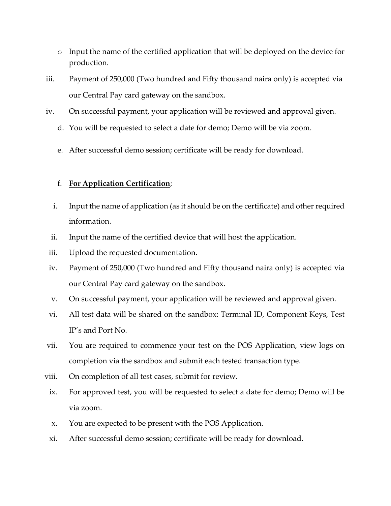- o Input the name of the certified application that will be deployed on the device for production.
- iii. Payment of 250,000 (Two hundred and Fifty thousand naira only) is accepted via our Central Pay card gateway on the sandbox.
- iv. On successful payment, your application will be reviewed and approval given.
	- d. You will be requested to select a date for demo; Demo will be via zoom.
	- e. After successful demo session; certificate will be ready for download.

### f. **For Application Certification**;

- i. Input the name of application (as it should be on the certificate) and other required information.
- ii. Input the name of the certified device that will host the application.
- iii. Upload the requested documentation.
- iv. Payment of 250,000 (Two hundred and Fifty thousand naira only) is accepted via our Central Pay card gateway on the sandbox.
- v. On successful payment, your application will be reviewed and approval given.
- vi. All test data will be shared on the sandbox: Terminal ID, Component Keys, Test IP's and Port No.
- vii. You are required to commence your test on the POS Application, view logs on completion via the sandbox and submit each tested transaction type.
- viii. On completion of all test cases, submit for review.
	- ix. For approved test, you will be requested to select a date for demo; Demo will be via zoom.
	- x. You are expected to be present with the POS Application.
	- xi. After successful demo session; certificate will be ready for download.